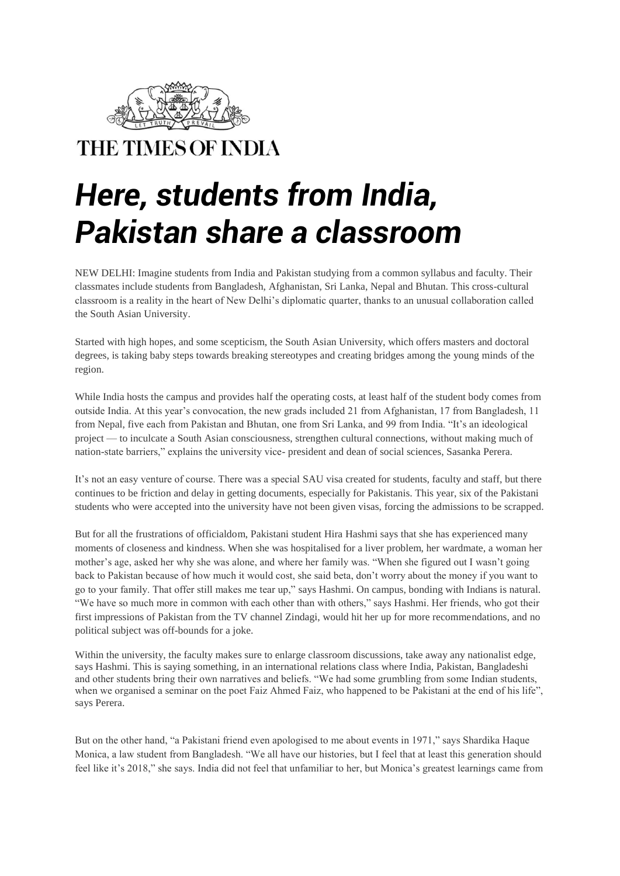

THE TIMES OF INDIA

## *Here, students from India, Pakistan share a classroom*

NEW DELHI: Imagine students from India and [Pakistan](https://timesofindia.indiatimes.com/topic/Pakistan) studying from a common syllabus and faculty. Their classmates include students from Bangladesh, Afghanistan, Sri Lanka, Nepal and Bhutan. This cross-cultural classroom is a reality in the heart of New Delhi's diplomatic quarter, thanks to an unusual collaboration called the [South Asian University.](https://timesofindia.indiatimes.com/topic/South-Asian-University)

Started with high hopes, and some scepticism, the South Asian University, which offers masters and doctoral degrees, is taking baby steps towards breaking stereotypes and creating bridges among the young minds of the region.

While India hosts the campus and provides half the operating costs, at least half of the student body comes from outside India. At this year's convocation, the new grads included 21 from Afghanistan, 17 from Bangladesh, 11 from Nepal, five each from Pakistan and Bhutan, one from Sri Lanka, and 99 from India. "It's an ideological project — to inculcate a South Asian consciousness, strengthen cultural connections, without making much of nation-state barriers," explains the university vice- president and dean of social sciences, Sasanka Perera.

It's not an easy venture of course. There was a special [SAU visa](https://timesofindia.indiatimes.com/topic/SAU-visa) created for students, faculty and staff, but there continues to be friction and delay in getting documents, especially for Pakistanis. This year, six of the Pakistani students who were accepted into the university have not been given visas, forcing the admissions to be scrapped.

But for all the frustrations of officialdom, Pakistani student Hira [Hashmi](https://timesofindia.indiatimes.com/topic/Hashmi) says that she has experienced many moments of closeness and kindness. When she was hospitalised for a liver problem, her wardmate, a woman her mother's age, asked her why she was alone, and where her family was. "When she figured out I wasn't going back to Pakistan because of how much it would cost, she said beta, don't worry about the money if you want to go to your family. That offer still makes me tear up," says Hashmi. On campus, bonding with Indians is natural. "We have so much more in common with each other than with others," says Hashmi. Her friends, who got their first impressions of Pakistan from the TV channel Zindagi, would hit her up for more recommendations, and no political subject was off-bounds for a joke.

Within the university, the faculty makes sure to enlarge classroom discussions, take away any nationalist edge, says Hashmi. This is saying something, in an international relations class where India, Pakistan, Bangladeshi and other students bring their own narratives and beliefs. "We had some grumbling from some Indian students, when we organised a seminar on the poet Faiz Ahmed Faiz, who happened to be Pakistani at the end of his life", says Perera.

But on the other hand, "a Pakistani friend even apologised to me about events in 1971," says Shardika Haque Monica, a law student from Bangladesh. "We all have our histories, but I feel that at least this generation should feel like it's 2018," she says. India did not feel that unfamiliar to her, but Monica's greatest learnings came from